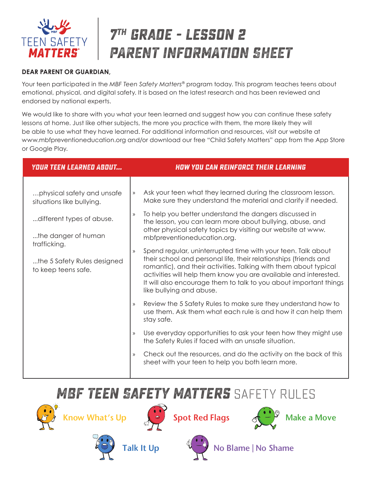

# **7th grade - lesson 2 PARENT INFORMATION SHEET**

#### **DEAR PARENT OR GUARDIAN,**

Your teen participated in the *MBF Teen Safety Matters®* program today. This program teaches teens about emotional, physical, and digital safety. It is based on the latest research and has been reviewed and endorsed by national experts.

We would like to share with you what your teen learned and suggest how you can continue these safety lessons at home. Just like other subjects, the more you practice with them, the more likely they will be able to use what they have learned. For additional information and resources, visit our website at www.mbfpreventioneducation.org and/or download our free "Child Safety Matters" app from the App Store or Google Play.

| <b>YOUR TEEN LEARNED ABOUT</b>                                                                                                                                                    | <b>HOW YOU CAN REINFORCE THEIR LEARNING</b>                                                                                                                                                                                                                                                                                                                                                                                                                                                                                                                                                                                                                                                                                                                                                                                                                                                                                                                                                                                                                                                                                                                             |
|-----------------------------------------------------------------------------------------------------------------------------------------------------------------------------------|-------------------------------------------------------------------------------------------------------------------------------------------------------------------------------------------------------------------------------------------------------------------------------------------------------------------------------------------------------------------------------------------------------------------------------------------------------------------------------------------------------------------------------------------------------------------------------------------------------------------------------------------------------------------------------------------------------------------------------------------------------------------------------------------------------------------------------------------------------------------------------------------------------------------------------------------------------------------------------------------------------------------------------------------------------------------------------------------------------------------------------------------------------------------------|
| physical safety and unsafe<br>situations like bullying.<br>different types of abuse.<br>the danger of human<br>trafficking.<br>the 5 Safety Rules designed<br>to keep teens safe. | Ask your teen what they learned during the classroom lesson.<br>$\mathcal{Y}$<br>Make sure they understand the material and clarify if needed.<br>To help you better understand the dangers discussed in<br>$\rangle$<br>the lesson, you can learn more about bullying, abuse, and<br>other physical safety topics by visiting our website at www.<br>mbfpreventioneducation.org.<br>Spend regular, uninterrupted time with your teen. Talk about<br>$\rangle$<br>their school and personal life, their relationships (friends and<br>romantic), and their activities. Talking with them about typical<br>activities will help them know you are available and interested.<br>It will also encourage them to talk to you about important things<br>like bullying and abuse.<br>Review the 5 Safety Rules to make sure they understand how to<br>$\rangle$<br>use them. Ask them what each rule is and how it can help them<br>stay safe.<br>Use everyday opportunities to ask your teen how they might use<br>$\mathcal{Y}$<br>the Safety Rules if faced with an unsafe situation.<br>Check out the resources, and do the activity on the back of this<br>$\mathcal{Y}$ |
|                                                                                                                                                                                   | sheet with your teen to help you both learn more.                                                                                                                                                                                                                                                                                                                                                                                                                                                                                                                                                                                                                                                                                                                                                                                                                                                                                                                                                                                                                                                                                                                       |

### **MBF Teen Safety Matters** SAFETY RULES















Talk It Up  $\bigcup_{k=1}^{\infty}$  No Blame | No Shame